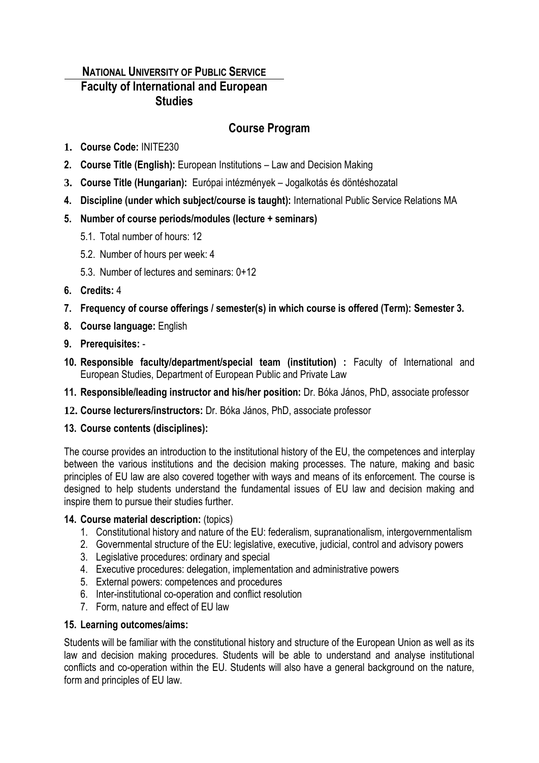# **NATIONAL UNIVERSITY OF PUBLIC SERVICE Faculty of International and European Studies**

# **Course Program**

- **1. Course Code:** INITE230
- **2. Course Title (English):** European Institutions Law and Decision Making
- **3. Course Title (Hungarian):** Európai intézmények Jogalkotás és döntéshozatal
- **4. Discipline (under which subject/course is taught):** International Public Service Relations MA
- **5. Number of course periods/modules (lecture + seminars)**
	- 5.1. Total number of hours: 12
	- 5.2. Number of hours per week: 4
	- 5.3. Number of lectures and seminars: 0+12
- **6. Credits:** 4
- **7. Frequency of course offerings / semester(s) in which course is offered (Term): Semester 3.**
- **8. Course language:** English
- **9. Prerequisites:** -
- **10. Responsible faculty/department/special team (institution) :** Faculty of International and European Studies, Department of European Public and Private Law
- **11. Responsible/leading instructor and his/her position:** Dr. Bóka János, PhD, associate professor
- **12. Course lecturers/instructors:** Dr. Bóka János, PhD, associate professor

## **13. Course contents (disciplines):**

The course provides an introduction to the institutional history of the EU, the competences and interplay between the various institutions and the decision making processes. The nature, making and basic principles of EU law are also covered together with ways and means of its enforcement. The course is designed to help students understand the fundamental issues of EU law and decision making and inspire them to pursue their studies further.

## **14. Course material description:** (topics)

- 1. Constitutional history and nature of the EU: federalism, supranationalism, intergovernmentalism
- 2. Governmental structure of the EU: legislative, executive, judicial, control and advisory powers
- 3. Legislative procedures: ordinary and special
- 4. Executive procedures: delegation, implementation and administrative powers
- 5. External powers: competences and procedures
- 6. Inter-institutional co-operation and conflict resolution
- 7. Form, nature and effect of EU law

## **15. Learning outcomes/aims:**

Students will be familiar with the constitutional history and structure of the European Union as well as its law and decision making procedures. Students will be able to understand and analyse institutional conflicts and co-operation within the EU. Students will also have a general background on the nature, form and principles of EU law.